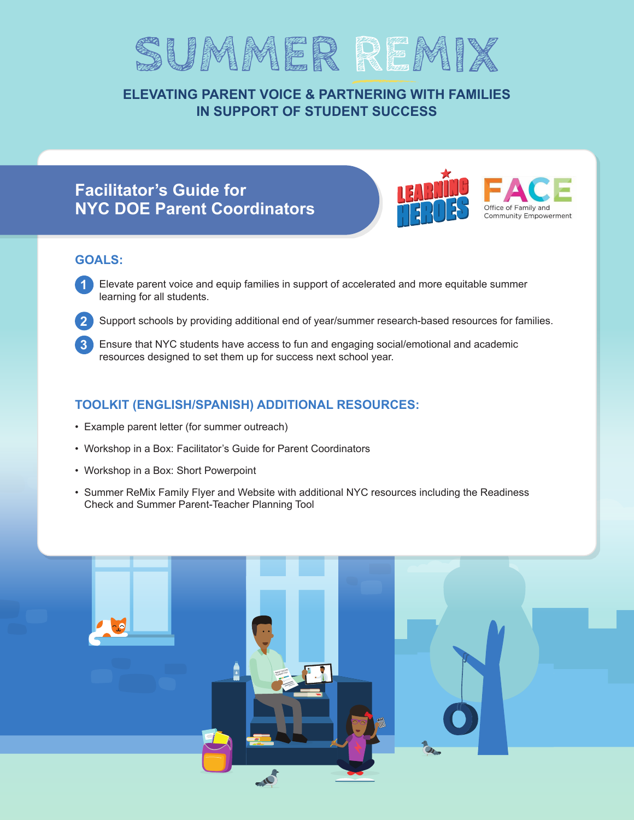

# **ELEVATING PARENT VOICE & PARTNERING WITH FAMILIES IN SUPPORT OF STUDENT SUCCESS**

# **Facilitator's Guide for NYC DOE Parent Coordinators**



# **GOALS:**

- **1** Elevate parent voice and equip families in support of accelerated and more equitable summer learning for all students.
- **2** Support schools by providing additional end of year/summer research-based resources for families.
- **3** Ensure that NYC students have access to fun and engaging social/emotional and academic resources designed to set them up for success next school year.

# **TOOLKIT (ENGLISH/SPANISH) ADDITIONAL RESOURCES:**

- Example parent letter (for summer outreach)
- Workshop in a Box: Facilitator's Guide for Parent Coordinators
- Workshop in a Box: Short Powerpoint
- Summer ReMix Family Flyer and Website with additional NYC resources including the Readiness Check and Summer Parent-Teacher Planning Tool

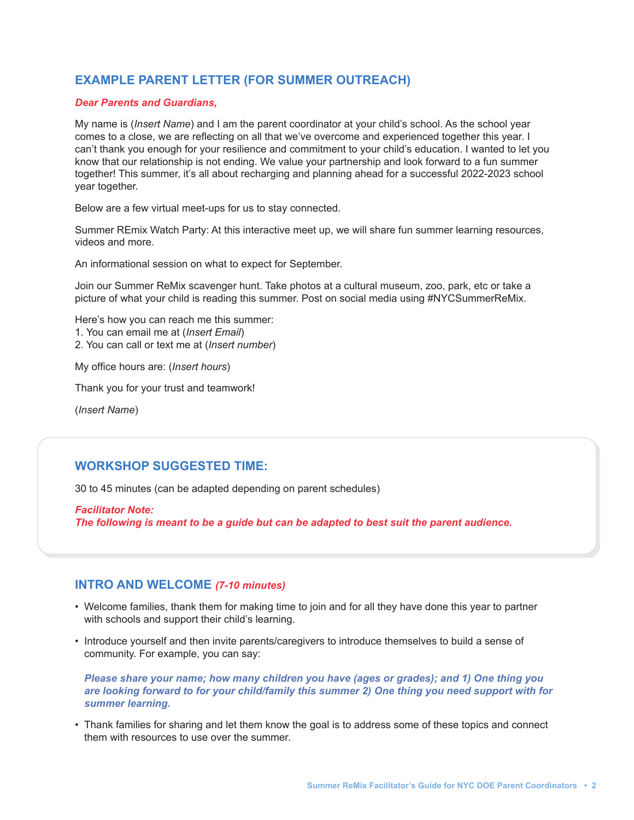# **EXAMPLE PARENT LETTER (FOR SUMMER OUTREACH)**

#### *Dear Parents and Guardians,*

My name is (*Insert Name*) and I am the parent coordinator at your child's school. As the school year comes to a close, we are reflecting on all that we've overcome and experienced together this year. I can't thank you enough for your resilience and commitment to your child's education. I wanted to let you know that our relationship is not ending. We value your partnership and look forward to a fun summer together! This summer, it's all about recharging and planning ahead for a successful 2022-2023 school year together.

Below are a few virtual meet-ups for us to stay connected.

Summer REmix Watch Party: At this interactive meet up, we will share fun summer learning resources, videos and more.

An informational session on what to expect for September.

Join our Summer ReMix scavenger hunt. Take photos at a cultural museum, zoo, park, etc or take a picture of what your child is reading this summer. Post on social media using #NYCSummerReMix.

Here's how you can reach me this summer: 1. You can email me at (*Insert Email*) 2. You can call or text me at (*Insert number*)

My office hours are: (*Insert hours*)

Thank you for your trust and teamwork!

(*Insert Name*)

## **WORKSHOP SUGGESTED TIME:**

30 to 45 minutes (can be adapted depending on parent schedules)

*Facilitator Note: The following is meant to be a guide but can be adapted to best suit the parent audience.*

### **INTRO AND WELCOME** *(7-10 minutes)*

- Welcome families, thank them for making time to join and for all they have done this year to partner with schools and support their child's learning.
- Introduce yourself and then invite parents/caregivers to introduce themselves to build a sense of community. For example, you can say:

*Please share your name; how many children you have (ages or grades); and 1) One thing you are looking forward to for your child/family this summer 2) One thing you need support with for summer learning.*

• Thank families for sharing and let them know the goal is to address some of these topics and connect them with resources to use over the summer.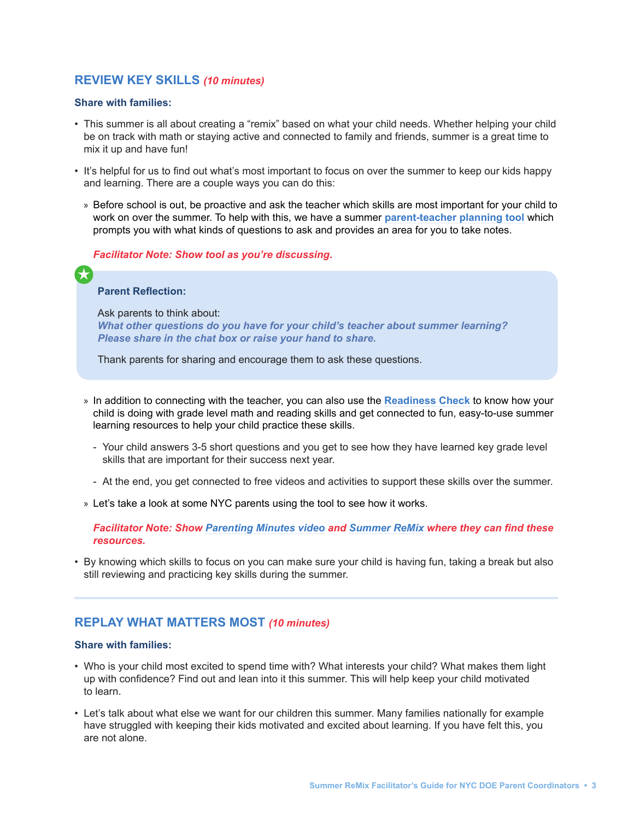### **REVIEW KEY SKILLS** *(10 minutes)*

#### **Share with families:**

- This summer is all about creating a "remix" based on what your child needs. Whether helping your child be on track with math or staying active and connected to family and friends, summer is a great time to mix it up and have fun!
- It's helpful for us to find out what's most important to focus on over the summer to keep our kids happy and learning. There are a couple ways you can do this:
	- » Before school is out, be proactive and ask the teacher which skills are most important for your child to work on over the summer. To help with this, we have a summer **[parent-teacher planning tool](https://bealearninghero.org/parent-teacher-planning-tool-summer/)** which prompts you with what kinds of questions to ask and provides an area for you to take notes.

#### *Facilitator Note: Show tool as you're discussing.*

#### **Parent Reflection:**

 $\bigstar$ 

Ask parents to think about: *What other questions do you have for your child's teacher about summer learning? Please share in the chat box or raise your hand to share.*

Thank parents for sharing and encourage them to ask these questions.

- » In addition to connecting with the teacher, you can also use the **[Readiness Check](http://readinesscheck.org/)** to know how your child is doing with grade level math and reading skills and get connected to fun, easy-to-use summer learning resources to help your child practice these skills.
	- Your child answers 3-5 short questions and you get to see how they have learned key grade level skills that are important for their success next year.
	- At the end, you get connected to free videos and activities to support these skills over the summer.
- » Let's take a look at some NYC parents using the tool to see how it works.

*Facilitator Note: S[how Parenting Minutes video](https://www.wnet.org/education/video/readiness-check/) and [Summer ReMix](https://bealearninghero.org/summer-stride/remix-nyc/) where they can find these resources.* 

• By knowing which skills to focus on you can make sure your child is having fun, taking a break but also still reviewing and practicing key skills during the summer.

### **REPLAY WHAT MATTERS MOST** *(10 minutes)*

#### **Share with families:**

- Who is your child most excited to spend time with? What interests your child? What makes them light up with confidence? Find out and lean into it this summer. This will help keep your child motivated to learn.
- Let's talk about what else we want for our children this summer. Many families nationally for example have struggled with keeping their kids motivated and excited about learning. If you have felt this, you are not alone.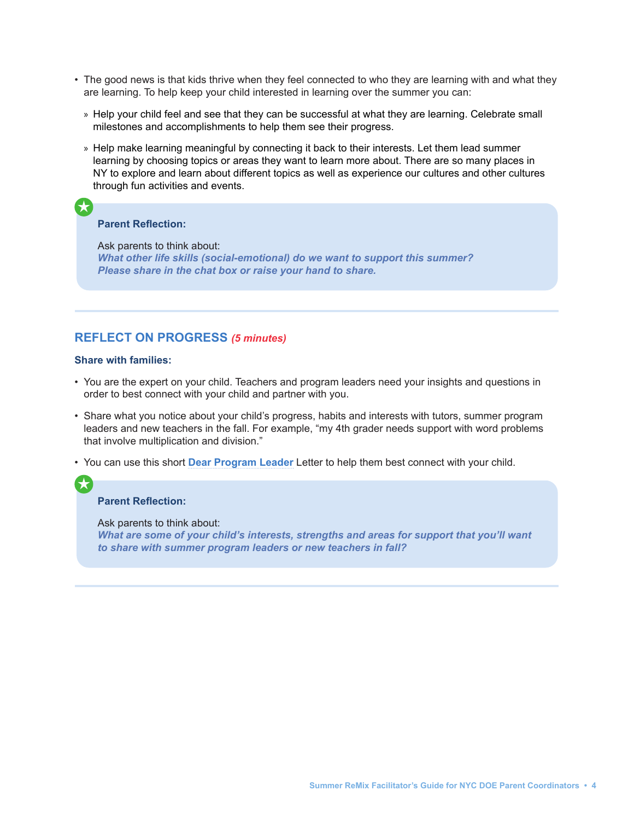- The good news is that kids thrive when they feel connected to who they are learning with and what they are learning. To help keep your child interested in learning over the summer you can:
	- » Help your child feel and see that they can be successful at what they are learning. Celebrate small milestones and accomplishments to help them see their progress.
	- » Help make learning meaningful by connecting it back to their interests. Let them lead summer learning by choosing topics or areas they want to learn more about. There are so many places in NY to explore and learn about different topics as well as experience our cultures and other cultures through fun activities and events.

#### **Parent Reflection:**

 $\mathbf{R}$ 

Ask parents to think about: *What other life skills (social-emotional) do we want to support this summer? Please share in the chat box or raise your hand to share.*

### **REFLECT ON PROGRESS** *(5 minutes)*

#### **Share with families:**

- You are the expert on your child. Teachers and program leaders need your insights and questions in order to best connect with your child and partner with you.
- Share what you notice about your child's progress, habits and interests with tutors, summer program leaders and new teachers in the fall. For example, "my 4th grader needs support with word problems that involve multiplication and division."
- You can use this short **[Dear Program Leader](https://bealearninghero.org/summer-letter/)** Letter to help them best connect with your child.

#### **Parent Reflection:**

Ask parents to think about: *What are some of your child's interests, strengths and areas for support that you'll want to share with summer program leaders or new teachers in fall?*